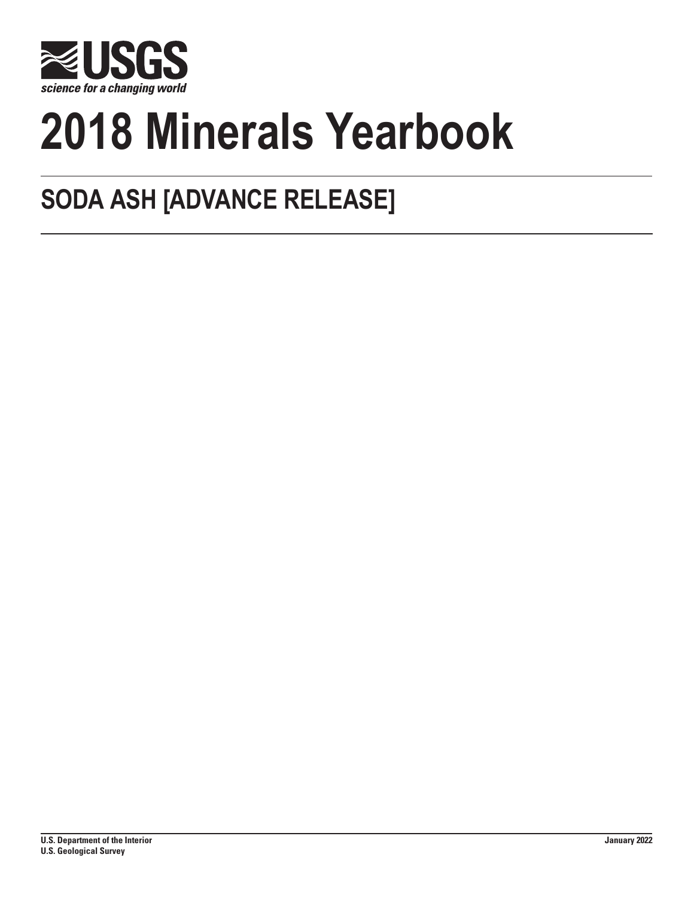

# **2018 Minerals Yearbook**

## **SODA ASH [ADVANCE RELEASE]**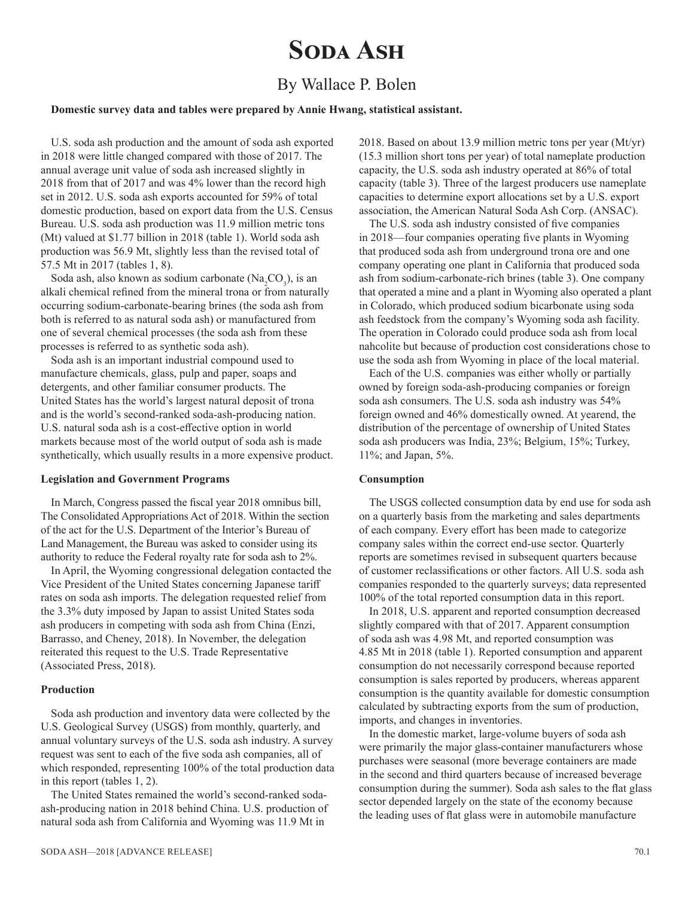### **Soda Ash**

#### By Wallace P. Bolen

#### **Domestic survey data and tables were prepared by Annie Hwang, statistical assistant.**

U.S. soda ash production and the amount of soda ash exported in 2018 were little changed compared with those of 2017. The annual average unit value of soda ash increased slightly in 2018 from that of 2017 and was 4% lower than the record high set in 2012. U.S. soda ash exports accounted for 59% of total domestic production, based on export data from the U.S. Census Bureau. U.S. soda ash production was 11.9 million metric tons (Mt) valued at \$1.77 billion in 2018 (table 1). World soda ash production was 56.9 Mt, slightly less than the revised total of 57.5 Mt in 2017 (tables 1, 8).

Soda ash, also known as sodium carbonate  $(Na_2CO_3)$ , is an alkali chemical refined from the mineral trona or from naturally occurring sodium-carbonate-bearing brines (the soda ash from both is referred to as natural soda ash) or manufactured from one of several chemical processes (the soda ash from these processes is referred to as synthetic soda ash).

Soda ash is an important industrial compound used to manufacture chemicals, glass, pulp and paper, soaps and detergents, and other familiar consumer products. The United States has the world's largest natural deposit of trona and is the world's second-ranked soda-ash-producing nation. U.S. natural soda ash is a cost-effective option in world markets because most of the world output of soda ash is made synthetically, which usually results in a more expensive product.

#### **Legislation and Government Programs**

In March, Congress passed the fiscal year 2018 omnibus bill, The Consolidated Appropriations Act of 2018. Within the section of the act for the U.S. Department of the Interior's Bureau of Land Management, the Bureau was asked to consider using its authority to reduce the Federal royalty rate for soda ash to 2%.

In April, the Wyoming congressional delegation contacted the Vice President of the United States concerning Japanese tariff rates on soda ash imports. The delegation requested relief from the 3.3% duty imposed by Japan to assist United States soda ash producers in competing with soda ash from China (Enzi, Barrasso, and Cheney, 2018). In November, the delegation reiterated this request to the U.S. Trade Representative (Associated Press, 2018).

#### **Production**

Soda ash production and inventory data were collected by the U.S. Geological Survey (USGS) from monthly, quarterly, and annual voluntary surveys of the U.S. soda ash industry. A survey request was sent to each of the five soda ash companies, all of which responded, representing 100% of the total production data in this report (tables 1, 2).

The United States remained the world's second-ranked sodaash-producing nation in 2018 behind China. U.S. production of natural soda ash from California and Wyoming was 11.9 Mt in

2018. Based on about 13.9 million metric tons per year (Mt/yr) (15.3 million short tons per year) of total nameplate production capacity, the U.S. soda ash industry operated at 86% of total capacity (table 3). Three of the largest producers use nameplate capacities to determine export allocations set by a U.S. export association, the American Natural Soda Ash Corp. (ANSAC).

The U.S. soda ash industry consisted of five companies in 2018—four companies operating five plants in Wyoming that produced soda ash from underground trona ore and one company operating one plant in California that produced soda ash from sodium-carbonate-rich brines (table 3). One company that operated a mine and a plant in Wyoming also operated a plant in Colorado, which produced sodium bicarbonate using soda ash feedstock from the company's Wyoming soda ash facility. The operation in Colorado could produce soda ash from local nahcolite but because of production cost considerations chose to use the soda ash from Wyoming in place of the local material.

Each of the U.S. companies was either wholly or partially owned by foreign soda-ash-producing companies or foreign soda ash consumers. The U.S. soda ash industry was 54% foreign owned and 46% domestically owned. At yearend, the distribution of the percentage of ownership of United States soda ash producers was India, 23%; Belgium, 15%; Turkey, 11%; and Japan, 5%.

#### **Consumption**

The USGS collected consumption data by end use for soda ash on a quarterly basis from the marketing and sales departments of each company. Every effort has been made to categorize company sales within the correct end-use sector. Quarterly reports are sometimes revised in subsequent quarters because of customer reclassifications or other factors. All U.S. soda ash companies responded to the quarterly surveys; data represented 100% of the total reported consumption data in this report.

In 2018, U.S. apparent and reported consumption decreased slightly compared with that of 2017. Apparent consumption of soda ash was 4.98 Mt, and reported consumption was 4.85 Mt in 2018 (table 1). Reported consumption and apparent consumption do not necessarily correspond because reported consumption is sales reported by producers, whereas apparent consumption is the quantity available for domestic consumption calculated by subtracting exports from the sum of production, imports, and changes in inventories.

In the domestic market, large-volume buyers of soda ash were primarily the major glass-container manufacturers whose purchases were seasonal (more beverage containers are made in the second and third quarters because of increased beverage consumption during the summer). Soda ash sales to the flat glass sector depended largely on the state of the economy because the leading uses of flat glass were in automobile manufacture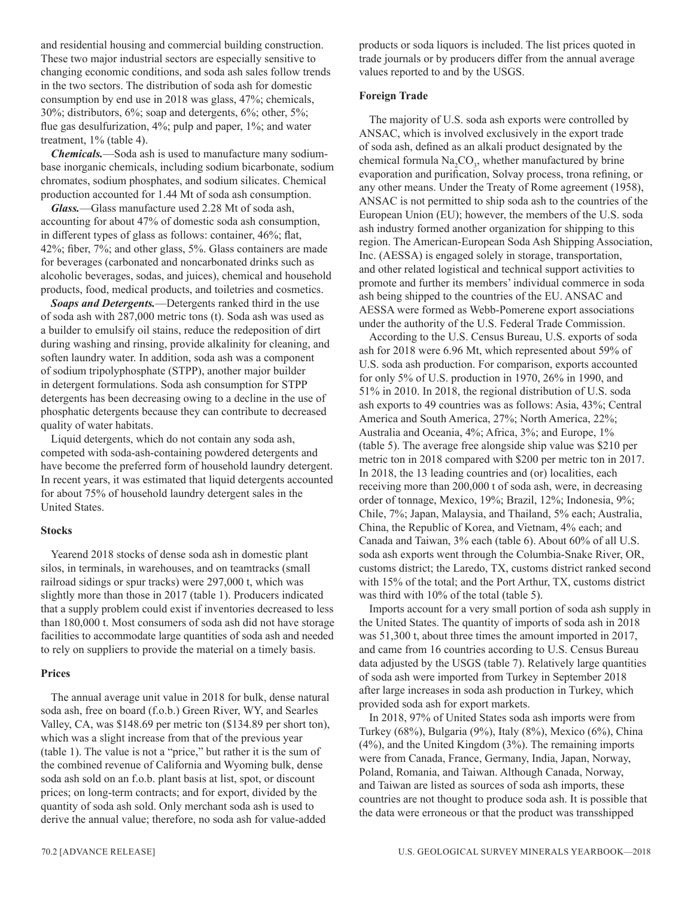and residential housing and commercial building construction. These two major industrial sectors are especially sensitive to changing economic conditions, and soda ash sales follow trends in the two sectors. The distribution of soda ash for domestic consumption by end use in 2018 was glass, 47%; chemicals, 30%; distributors, 6%; soap and detergents, 6%; other, 5%; flue gas desulfurization, 4%; pulp and paper, 1%; and water treatment, 1% (table 4).

*Chemicals.*—Soda ash is used to manufacture many sodiumbase inorganic chemicals, including sodium bicarbonate, sodium chromates, sodium phosphates, and sodium silicates. Chemical production accounted for 1.44 Mt of soda ash consumption.

*Glass.*—Glass manufacture used 2.28 Mt of soda ash, accounting for about 47% of domestic soda ash consumption, in different types of glass as follows: container, 46%; flat, 42%; fiber, 7%; and other glass, 5%. Glass containers are made for beverages (carbonated and noncarbonated drinks such as alcoholic beverages, sodas, and juices), chemical and household products, food, medical products, and toiletries and cosmetics.

*Soaps and Detergents.*—Detergents ranked third in the use of soda ash with 287,000 metric tons (t). Soda ash was used as a builder to emulsify oil stains, reduce the redeposition of dirt during washing and rinsing, provide alkalinity for cleaning, and soften laundry water. In addition, soda ash was a component of sodium tripolyphosphate (STPP), another major builder in detergent formulations. Soda ash consumption for STPP detergents has been decreasing owing to a decline in the use of phosphatic detergents because they can contribute to decreased quality of water habitats.

Liquid detergents, which do not contain any soda ash, competed with soda-ash-containing powdered detergents and have become the preferred form of household laundry detergent. In recent years, it was estimated that liquid detergents accounted for about 75% of household laundry detergent sales in the United States.

#### **Stocks**

Yearend 2018 stocks of dense soda ash in domestic plant silos, in terminals, in warehouses, and on teamtracks (small railroad sidings or spur tracks) were 297,000 t, which was slightly more than those in 2017 (table 1). Producers indicated that a supply problem could exist if inventories decreased to less than 180,000 t. Most consumers of soda ash did not have storage facilities to accommodate large quantities of soda ash and needed to rely on suppliers to provide the material on a timely basis.

#### **Prices**

The annual average unit value in 2018 for bulk, dense natural soda ash, free on board (f.o.b.) Green River, WY, and Searles Valley, CA, was \$148.69 per metric ton (\$134.89 per short ton), which was a slight increase from that of the previous year (table 1). The value is not a "price," but rather it is the sum of the combined revenue of California and Wyoming bulk, dense soda ash sold on an f.o.b. plant basis at list, spot, or discount prices; on long-term contracts; and for export, divided by the quantity of soda ash sold. Only merchant soda ash is used to derive the annual value; therefore, no soda ash for value-added

products or soda liquors is included. The list prices quoted in trade journals or by producers differ from the annual average values reported to and by the USGS.

#### **Foreign Trade**

The majority of U.S. soda ash exports were controlled by ANSAC, which is involved exclusively in the export trade of soda ash, defined as an alkali product designated by the chemical formula  $\text{Na}_2\text{CO}_3$ , whether manufactured by brine evaporation and purification, Solvay process, trona refining, or any other means. Under the Treaty of Rome agreement (1958), ANSAC is not permitted to ship soda ash to the countries of the European Union (EU); however, the members of the U.S. soda ash industry formed another organization for shipping to this region. The American-European Soda Ash Shipping Association, Inc. (AESSA) is engaged solely in storage, transportation, and other related logistical and technical support activities to promote and further its members' individual commerce in soda ash being shipped to the countries of the EU. ANSAC and AESSA were formed as Webb-Pomerene export associations under the authority of the U.S. Federal Trade Commission.

According to the U.S. Census Bureau, U.S. exports of soda ash for 2018 were 6.96 Mt, which represented about 59% of U.S. soda ash production. For comparison, exports accounted for only 5% of U.S. production in 1970, 26% in 1990, and 51% in 2010. In 2018, the regional distribution of U.S. soda ash exports to 49 countries was as follows: Asia, 43%; Central America and South America, 27%; North America, 22%; Australia and Oceania, 4%; Africa, 3%; and Europe, 1% (table 5). The average free alongside ship value was \$210 per metric ton in 2018 compared with \$200 per metric ton in 2017. In 2018, the 13 leading countries and (or) localities, each receiving more than 200,000 t of soda ash, were, in decreasing order of tonnage, Mexico, 19%; Brazil, 12%; Indonesia, 9%; Chile, 7%; Japan, Malaysia, and Thailand, 5% each; Australia, China, the Republic of Korea, and Vietnam, 4% each; and Canada and Taiwan, 3% each (table 6). About 60% of all U.S. soda ash exports went through the Columbia-Snake River, OR, customs district; the Laredo, TX, customs district ranked second with 15% of the total; and the Port Arthur, TX, customs district was third with 10% of the total (table 5).

Imports account for a very small portion of soda ash supply in the United States. The quantity of imports of soda ash in 2018 was 51,300 t, about three times the amount imported in 2017, and came from 16 countries according to U.S. Census Bureau data adjusted by the USGS (table 7). Relatively large quantities of soda ash were imported from Turkey in September 2018 after large increases in soda ash production in Turkey, which provided soda ash for export markets.

In 2018, 97% of United States soda ash imports were from Turkey (68%), Bulgaria (9%), Italy (8%), Mexico (6%), China (4%), and the United Kingdom (3%). The remaining imports were from Canada, France, Germany, India, Japan, Norway, Poland, Romania, and Taiwan. Although Canada, Norway, and Taiwan are listed as sources of soda ash imports, these countries are not thought to produce soda ash. It is possible that the data were erroneous or that the product was transshipped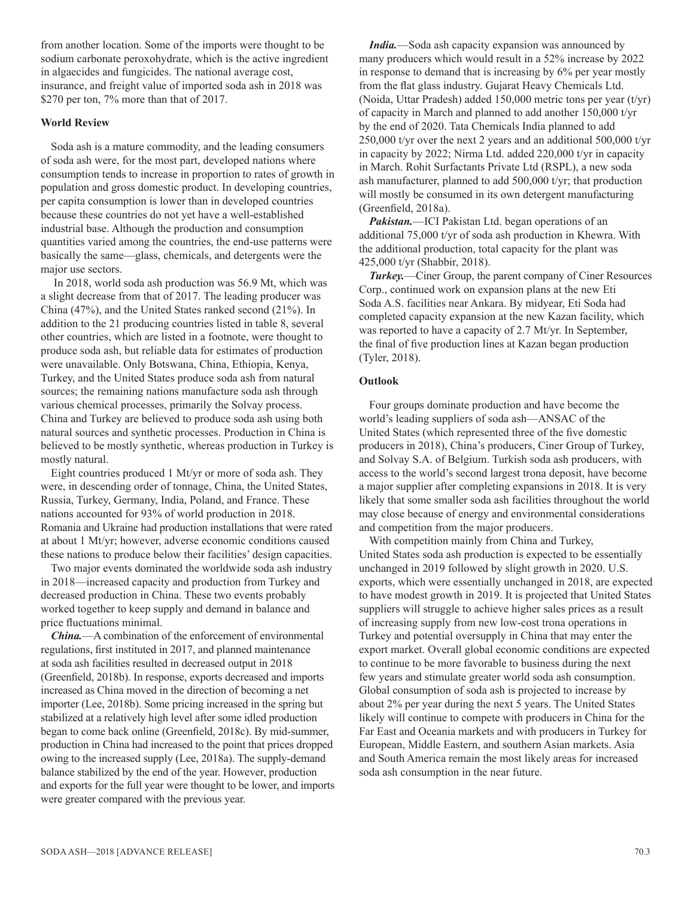from another location. Some of the imports were thought to be sodium carbonate peroxohydrate, which is the active ingredient in algaecides and fungicides. The national average cost, insurance, and freight value of imported soda ash in 2018 was \$270 per ton, 7% more than that of 2017.

#### **World Review**

Soda ash is a mature commodity, and the leading consumers of soda ash were, for the most part, developed nations where consumption tends to increase in proportion to rates of growth in population and gross domestic product. In developing countries, per capita consumption is lower than in developed countries because these countries do not yet have a well-established industrial base. Although the production and consumption quantities varied among the countries, the end-use patterns were basically the same—glass, chemicals, and detergents were the major use sectors.

 In 2018, world soda ash production was 56.9 Mt, which was a slight decrease from that of 2017. The leading producer was China (47%), and the United States ranked second (21%). In addition to the 21 producing countries listed in table 8, several other countries, which are listed in a footnote, were thought to produce soda ash, but reliable data for estimates of production were unavailable. Only Botswana, China, Ethiopia, Kenya, Turkey, and the United States produce soda ash from natural sources; the remaining nations manufacture soda ash through various chemical processes, primarily the Solvay process. China and Turkey are believed to produce soda ash using both natural sources and synthetic processes. Production in China is believed to be mostly synthetic, whereas production in Turkey is mostly natural.

Eight countries produced 1 Mt/yr or more of soda ash. They were, in descending order of tonnage, China, the United States, Russia, Turkey, Germany, India, Poland, and France. These nations accounted for 93% of world production in 2018. Romania and Ukraine had production installations that were rated at about 1 Mt/yr; however, adverse economic conditions caused these nations to produce below their facilities' design capacities.

Two major events dominated the worldwide soda ash industry in 2018—increased capacity and production from Turkey and decreased production in China. These two events probably worked together to keep supply and demand in balance and price fluctuations minimal.

*China.*—A combination of the enforcement of environmental regulations, first instituted in 2017, and planned maintenance at soda ash facilities resulted in decreased output in 2018 (Greenfield, 2018b). In response, exports decreased and imports increased as China moved in the direction of becoming a net importer (Lee, 2018b). Some pricing increased in the spring but stabilized at a relatively high level after some idled production began to come back online (Greenfield, 2018c). By mid-summer, production in China had increased to the point that prices dropped owing to the increased supply (Lee, 2018a). The supply-demand balance stabilized by the end of the year. However, production and exports for the full year were thought to be lower, and imports were greater compared with the previous year.

*India.*—Soda ash capacity expansion was announced by many producers which would result in a 52% increase by 2022 in response to demand that is increasing by 6% per year mostly from the flat glass industry. Gujarat Heavy Chemicals Ltd. (Noida, Uttar Pradesh) added 150,000 metric tons per year (t/yr) of capacity in March and planned to add another 150,000 t/yr by the end of 2020. Tata Chemicals India planned to add 250,000 t/yr over the next 2 years and an additional 500,000 t/yr in capacity by 2022; Nirma Ltd. added 220,000 t/yr in capacity in March. Rohit Surfactants Private Ltd (RSPL), a new soda ash manufacturer, planned to add 500,000 t/yr; that production will mostly be consumed in its own detergent manufacturing (Greenfield, 2018a).

*Pakistan.*—ICI Pakistan Ltd. began operations of an additional 75,000 t/yr of soda ash production in Khewra. With the additional production, total capacity for the plant was 425,000 t/yr (Shabbir, 2018).

*Turkey.*—Ciner Group, the parent company of Ciner Resources Corp., continued work on expansion plans at the new Eti Soda A.S. facilities near Ankara. By midyear, Eti Soda had completed capacity expansion at the new Kazan facility, which was reported to have a capacity of 2.7 Mt/yr. In September, the final of five production lines at Kazan began production (Tyler, 2018).

#### **Outlook**

Four groups dominate production and have become the world's leading suppliers of soda ash—ANSAC of the United States (which represented three of the five domestic producers in 2018), China's producers, Ciner Group of Turkey, and Solvay S.A. of Belgium. Turkish soda ash producers, with access to the world's second largest trona deposit, have become a major supplier after completing expansions in 2018. It is very likely that some smaller soda ash facilities throughout the world may close because of energy and environmental considerations and competition from the major producers.

With competition mainly from China and Turkey, United States soda ash production is expected to be essentially unchanged in 2019 followed by slight growth in 2020. U.S. exports, which were essentially unchanged in 2018, are expected to have modest growth in 2019. It is projected that United States suppliers will struggle to achieve higher sales prices as a result of increasing supply from new low-cost trona operations in Turkey and potential oversupply in China that may enter the export market. Overall global economic conditions are expected to continue to be more favorable to business during the next few years and stimulate greater world soda ash consumption. Global consumption of soda ash is projected to increase by about 2% per year during the next 5 years. The United States likely will continue to compete with producers in China for the Far East and Oceania markets and with producers in Turkey for European, Middle Eastern, and southern Asian markets. Asia and South America remain the most likely areas for increased soda ash consumption in the near future.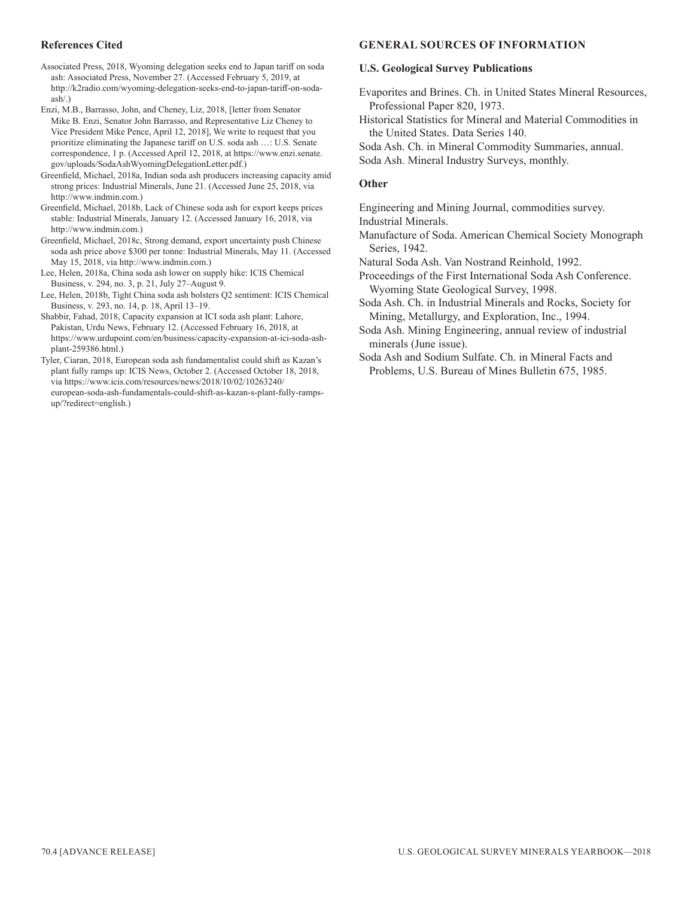#### **References Cited**

Associated Press, 2018, Wyoming delegation seeks end to Japan tariff on soda ash: Associated Press, November 27. (Accessed February 5, 2019, at http://k2radio.com/wyoming-delegation-seeks-end-to-japan-tariff-on-sodaash/.)

Enzi, M.B., Barrasso, John, and Cheney, Liz, 2018, [letter from Senator Mike B. Enzi, Senator John Barrasso, and Representative Liz Cheney to Vice President Mike Pence, April 12, 2018], We write to request that you prioritize eliminating the Japanese tariff on U.S. soda ash …: U.S. Senate correspondence, 1 p. (Accessed April 12, 2018, at https://www.enzi.senate. gov/uploads/SodaAshWyomingDelegationLetter.pdf.)

Greenfield, Michael, 2018a, Indian soda ash producers increasing capacity amid strong prices: Industrial Minerals, June 21. (Accessed June 25, 2018, via http://www.indmin.com.)

Greenfield, Michael, 2018b, Lack of Chinese soda ash for export keeps prices stable: Industrial Minerals, January 12. (Accessed January 16, 2018, via http://www.indmin.com.)

Greenfield, Michael, 2018c, Strong demand, export uncertainty push Chinese soda ash price above \$300 per tonne: Industrial Minerals, May 11. (Accessed May 15, 2018, via http://www.indmin.com.)

- Lee, Helen, 2018a, China soda ash lower on supply hike: ICIS Chemical Business, v. 294, no. 3, p. 21, July 27–August 9.
- Lee, Helen, 2018b, Tight China soda ash bolsters Q2 sentiment: ICIS Chemical Business, v. 293, no. 14, p. 18, April 13–19.
- Shabbir, Fahad, 2018, Capacity expansion at ICI soda ash plant: Lahore, Pakistan, Urdu News, February 12. (Accessed February 16, 2018, at https://www.urdupoint.com/en/business/capacity-expansion-at-ici-soda-ashplant-259386.html.)

Tyler, Ciaran, 2018, European soda ash fundamentalist could shift as Kazan's plant fully ramps up: ICIS News, October 2. (Accessed October 18, 2018, via https://www.icis.com/resources/news/2018/10/02/10263240/ european-soda-ash-fundamentals-could-shift-as-kazan-s-plant-fully-rampsup/?redirect=english.)

#### **GENERAL SOURCES OF INFORMATION**

#### **U.S. Geological Survey Publications**

Evaporites and Brines. Ch. in United States Mineral Resources, Professional Paper 820, 1973.

Historical Statistics for Mineral and Material Commodities in the United States. Data Series 140.

Soda Ash. Ch. in Mineral Commodity Summaries, annual. Soda Ash. Mineral Industry Surveys, monthly.

#### **Other**

Engineering and Mining Journal, commodities survey. Industrial Minerals.

- Manufacture of Soda. American Chemical Society Monograph Series, 1942.
- Natural Soda Ash. Van Nostrand Reinhold, 1992.
- Proceedings of the First International Soda Ash Conference. Wyoming State Geological Survey, 1998.
- Soda Ash. Ch. in Industrial Minerals and Rocks, Society for Mining, Metallurgy, and Exploration, Inc., 1994.
- Soda Ash. Mining Engineering, annual review of industrial minerals (June issue).
- Soda Ash and Sodium Sulfate. Ch. in Mineral Facts and Problems, U.S. Bureau of Mines Bulletin 675, 1985.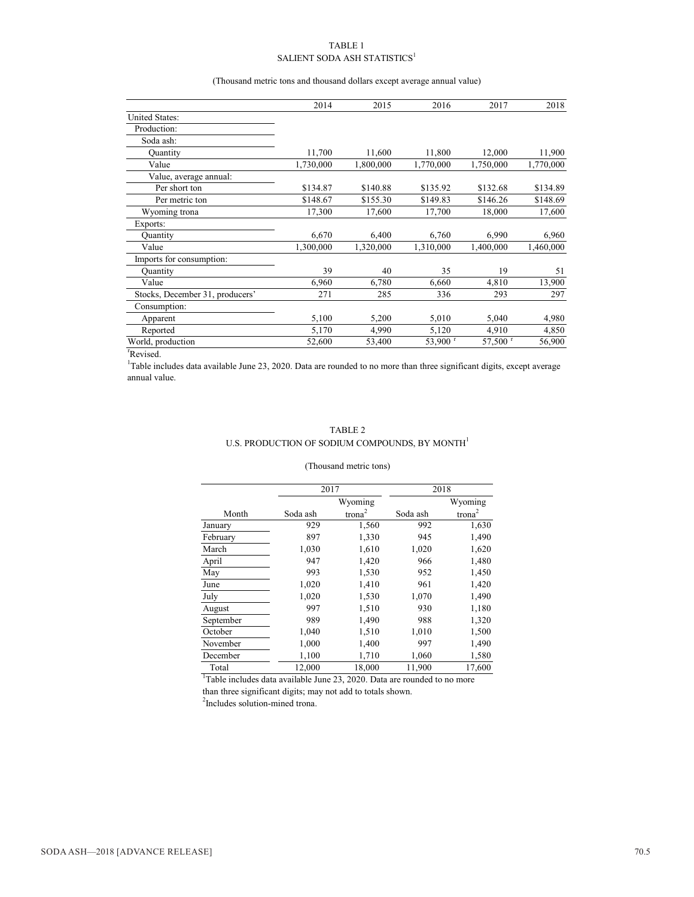#### TABLE 1 SALIENT SODA ASH STATISTICS $^1$

#### (Thousand metric tons and thousand dollars except average annual value)

|                                 | 2014      | 2015      | 2016      | 2017      | 2018      |
|---------------------------------|-----------|-----------|-----------|-----------|-----------|
| <b>United States:</b>           |           |           |           |           |           |
| Production:                     |           |           |           |           |           |
| Soda ash:                       |           |           |           |           |           |
| Quantity                        | 11,700    | 11,600    | 11,800    | 12,000    | 11,900    |
| Value                           | 1,730,000 | 1,800,000 | 1,770,000 | 1,750,000 | 1,770,000 |
| Value, average annual:          |           |           |           |           |           |
| Per short ton                   | \$134.87  | \$140.88  | \$135.92  | \$132.68  | \$134.89  |
| Per metric ton                  | \$148.67  | \$155.30  | \$149.83  | \$146.26  | \$148.69  |
| Wyoming trona                   | 17,300    | 17,600    | 17,700    | 18,000    | 17,600    |
| Exports:                        |           |           |           |           |           |
| Quantity                        | 6,670     | 6,400     | 6,760     | 6,990     | 6,960     |
| Value                           | 1,300,000 | 1,320,000 | 1,310,000 | 1,400,000 | 1,460,000 |
| Imports for consumption:        |           |           |           |           |           |
| Quantity                        | 39        | 40        | 35        | 19        | 51        |
| Value                           | 6,960     | 6,780     | 6,660     | 4,810     | 13,900    |
| Stocks, December 31, producers' | 271       | 285       | 336       | 293       | 297       |
| Consumption:                    |           |           |           |           |           |
| Apparent                        | 5,100     | 5,200     | 5,010     | 5,040     | 4,980     |
| Reported                        | 5,170     | 4,990     | 5,120     | 4,910     | 4,850     |
| World, production               | 52,600    | 53,400    | 53,900 r  | 57,500 r  | 56,900    |

r Revised.

1 Table includes data available June 23, 2020. Data are rounded to no more than three significant digits, except average annual value.

#### TABLE 2

#### U.S. PRODUCTION OF SODIUM COMPOUNDS, BY MONTH<sup>1</sup>

#### (Thousand metric tons)

|           |          | 2017               | 2018     |                    |  |  |
|-----------|----------|--------------------|----------|--------------------|--|--|
|           |          | Wyoming            |          | Wyoming            |  |  |
| Month     | Soda ash | trona <sup>2</sup> | Soda ash | trona <sup>2</sup> |  |  |
| January   | 929      | 1,560              | 992      | 1,630              |  |  |
| February  | 897      | 1,330              | 945      | 1,490              |  |  |
| March     | 1,030    | 1,610              | 1,020    | 1,620              |  |  |
| April     | 947      | 1,420              | 966      | 1,480              |  |  |
| May       | 993      | 1,530              | 952      | 1,450              |  |  |
| June      | 1,020    | 1,410              | 961      | 1,420              |  |  |
| July      | 1,020    | 1,530              | 1,070    | 1,490              |  |  |
| August    | 997      | 1,510              | 930      | 1,180              |  |  |
| September | 989      | 1,490              | 988      | 1,320              |  |  |
| October   | 1,040    | 1,510              | 1,010    | 1,500              |  |  |
| November  | 1,000    | 1,400              | 997      | 1,490              |  |  |
| December  | 1,100    | 1,710              | 1,060    | 1,580              |  |  |
| Total     | 12,000   | 18,000             | 11,900   | 17,600             |  |  |

<sup>1</sup>Table includes data available June 23, 2020. Data are rounded to no more than three significant digits; may not add to totals shown.

<sup>2</sup>Includes solution-mined trona.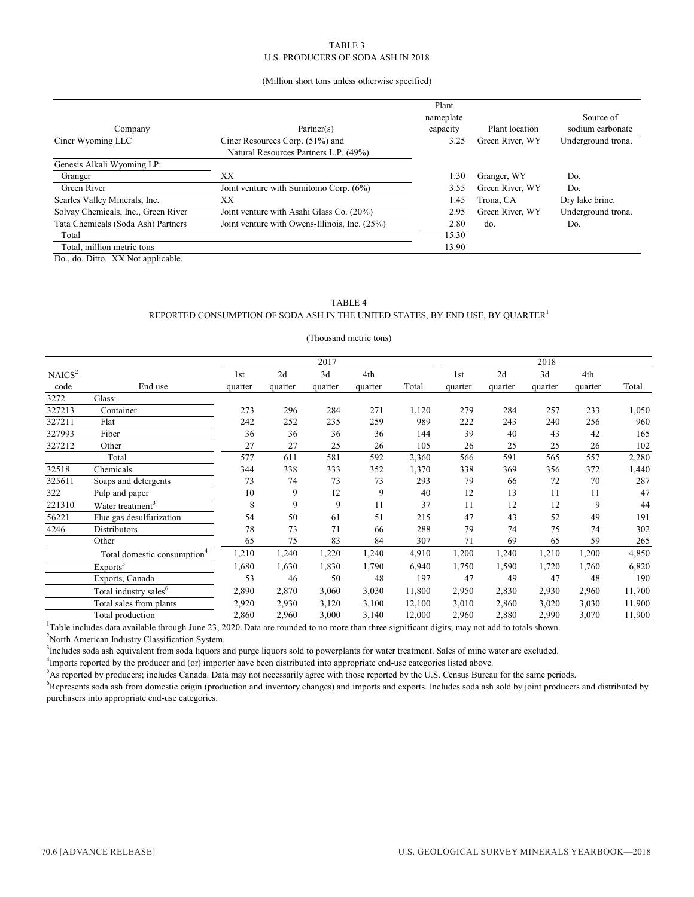#### TABLE 3 U.S. PRODUCERS OF SODA ASH IN 2018

#### (Million short tons unless otherwise specified)

|                                     |                                               | Plant     |                 |                    |
|-------------------------------------|-----------------------------------------------|-----------|-----------------|--------------------|
|                                     |                                               | nameplate |                 | Source of          |
| Company                             | Partner(s)                                    | capacity  | Plant location  | sodium carbonate   |
| Ciner Wyoming LLC                   | Ciner Resources Corp. (51%) and               | 3.25      | Green River, WY | Underground trona. |
|                                     | Natural Resources Partners L.P. (49%)         |           |                 |                    |
| Genesis Alkali Wyoming LP:          |                                               |           |                 |                    |
| Granger                             | XХ                                            | 1.30      | Granger, WY     | Do.                |
| Green River                         | Joint venture with Sumitomo Corp. (6%)        | 3.55      | Green River, WY | Do.                |
| Searles Valley Minerals, Inc.       | XX                                            | 1.45      | Trona, CA       | Dry lake brine.    |
| Solvay Chemicals, Inc., Green River | Joint venture with Asahi Glass Co. (20%)      | 2.95      | Green River, WY | Underground trona. |
| Tata Chemicals (Soda Ash) Partners  | Joint venture with Owens-Illinois, Inc. (25%) | 2.80      | do.             | Do.                |
| Total                               |                                               | 15.30     |                 |                    |
| Total, million metric tons          |                                               | 13.90     |                 |                    |

Do., do. Ditto. XX Not applicable.

#### TABLE 4 REPORTED CONSUMPTION OF SODA ASH IN THE UNITED STATES, BY END USE, BY QUARTER<sup>1</sup>

#### (Thousand metric tons)

|                    |                                         |         |         | 2017    |         |        |         |         | 2018    |         |        |
|--------------------|-----------------------------------------|---------|---------|---------|---------|--------|---------|---------|---------|---------|--------|
| NAICS <sup>2</sup> |                                         | 1st     | 2d      | 3d      | 4th     |        | 1st     | 2d      | 3d      | 4th     |        |
| code               | End use                                 | quarter | quarter | quarter | quarter | Total  | quarter | quarter | quarter | quarter | Total  |
| 3272               | Glass:                                  |         |         |         |         |        |         |         |         |         |        |
| 327213             | Container                               | 273     | 296     | 284     | 271     | 1,120  | 279     | 284     | 257     | 233     | 1,050  |
| 327211             | Flat                                    | 242     | 252     | 235     | 259     | 989    | 222     | 243     | 240     | 256     | 960    |
| 327993             | Fiber                                   | 36      | 36      | 36      | 36      | 144    | 39      | 40      | 43      | 42      | 165    |
| 327212             | Other                                   | 27      | 27      | 25      | 26      | 105    | 26      | 25      | 25      | 26      | 102    |
|                    | Total                                   | 577     | 611     | 581     | 592     | 2,360  | 566     | 591     | 565     | 557     | 2,280  |
| 32518              | Chemicals                               | 344     | 338     | 333     | 352     | 1,370  | 338     | 369     | 356     | 372     | 1,440  |
| 325611             | Soaps and detergents                    | 73      | 74      | 73      | 73      | 293    | 79      | 66      | 72      | 70      | 287    |
| 322                | Pulp and paper                          | 10      | 9       | 12      | 9       | 40     | 12      | 13      | 11      | 11      | 47     |
| 221310             | Water treatment <sup>3</sup>            | 8       | 9       | 9       | 11      | 37     | 11      | 12      | 12      | 9       | 44     |
| 56221              | Flue gas desulfurization                | 54      | 50      | 61      | 51      | 215    | 47      | 43      | 52      | 49      | 191    |
| 4246               | Distributors                            | 78      | 73      | 71      | 66      | 288    | 79      | 74      | 75      | 74      | 302    |
|                    | Other                                   | 65      | 75      | 83      | 84      | 307    | 71      | 69      | 65      | 59      | 265    |
|                    | Total domestic consumption <sup>4</sup> | 1,210   | 1,240   | 1,220   | 1,240   | 4,910  | 1,200   | 1,240   | 1,210   | 1,200   | 4,850  |
|                    | Exports <sup>5</sup>                    | 1,680   | 1,630   | 1,830   | 1,790   | 6,940  | 1,750   | 1,590   | 1,720   | 1,760   | 6,820  |
|                    | Exports, Canada                         | 53      | 46      | 50      | 48      | 197    | 47      | 49      | 47      | 48      | 190    |
|                    | Total industry sales <sup>6</sup>       | 2,890   | 2,870   | 3,060   | 3,030   | 11,800 | 2,950   | 2,830   | 2,930   | 2,960   | 11,700 |
|                    | Total sales from plants                 | 2,920   | 2,930   | 3,120   | 3,100   | 12,100 | 3,010   | 2,860   | 3,020   | 3,030   | 11,900 |
|                    | Total production                        | 2,860   | 2,960   | 3,000   | 3,140   | 12,000 | 2,960   | 2,880   | 2,990   | 3,070   | 11,900 |

<sup>1</sup>Table includes data available through June 23, 2020. Data are rounded to no more than three significant digits; may not add to totals shown.

<sup>2</sup>North American Industry Classification System.

<sup>3</sup>Includes soda ash equivalent from soda liquors and purge liquors sold to powerplants for water treatment. Sales of mine water are excluded.

<sup>4</sup> Imports reported by the producer and (or) importer have been distributed into appropriate end-use categories listed above.

<sup>5</sup> As reported by producers; includes Canada. Data may not necessarily agree with those reported by the U.S. Census Bureau for the same periods.

<sup>6</sup>Represents soda ash from domestic origin (production and inventory changes) and imports and exports. Includes soda ash sold by joint producers and distributed by purchasers into appropriate end-use categories.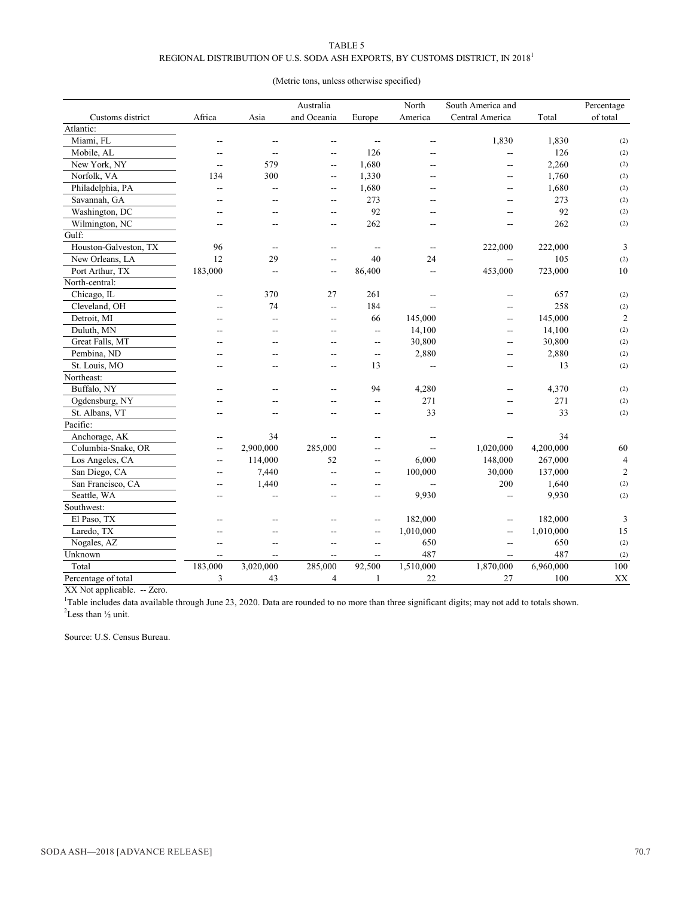#### TABLE 5 REGIONAL DISTRIBUTION OF U.S. SODA ASH EXPORTS, BY CUSTOMS DISTRICT, IN 2018  $^{\rm l}$

#### (Metric tons, unless otherwise specified)

|                       |                          |                | Australia                |                          | North                    | South America and        |           | Percentage     |
|-----------------------|--------------------------|----------------|--------------------------|--------------------------|--------------------------|--------------------------|-----------|----------------|
| Customs district      | Africa                   | Asia           | and Oceania              | Europe                   | America                  | Central America          | Total     | of total       |
| Atlantic:             |                          |                |                          |                          |                          |                          |           |                |
| Miami, FL             |                          | --             | $\overline{\phantom{a}}$ | $-$                      |                          | 1,830                    | 1,830     | (2)            |
| Mobile, AL            | --                       |                |                          | 126                      |                          | --                       | 126       | (2)            |
| New York, NY          | --                       | 579            | $\overline{a}$           | 1,680                    |                          | --                       | 2,260     | (2)            |
| Norfolk, VA           | 134                      | 300            | $\overline{\phantom{a}}$ | 1,330                    |                          | $\overline{\phantom{a}}$ | 1,760     | (2)            |
| Philadelphia, PA      |                          | ц,             | $\overline{\phantom{a}}$ | 1,680                    |                          | $\overline{a}$           | 1,680     | (2)            |
| Savannah, GA          |                          | --             | $\overline{a}$           | 273                      |                          | $-$                      | 273       | (2)            |
| Washington, DC        |                          |                | $\overline{\phantom{a}}$ | 92                       |                          | --                       | 92        | (2)            |
| Wilmington, NC        |                          | --             | $\overline{\phantom{a}}$ | 262                      |                          | --                       | 262       | (2)            |
| Gulf:                 |                          |                |                          |                          |                          |                          |           |                |
| Houston-Galveston, TX | 96                       | $-$            |                          | $\overline{\phantom{a}}$ | Ξ.                       | 222,000                  | 222,000   | $\mathfrak{Z}$ |
| New Orleans, LA       | 12                       | 29             |                          | 40                       | 24                       |                          | 105       | (2)            |
| Port Arthur, TX       | 183,000                  | --             | $\overline{a}$           | 86,400                   | $\overline{\phantom{a}}$ | 453,000                  | 723,000   | 10             |
| North-central:        |                          |                |                          |                          |                          |                          |           |                |
| Chicago, IL           | $\overline{a}$           | 370            | 27                       | 261                      | $\overline{a}$           | $\overline{\phantom{a}}$ | 657       | (2)            |
| Cleveland, OH         |                          | 74             | $\overline{a}$           | 184                      |                          | $\overline{a}$           | 258       | (2)            |
| Detroit, MI           |                          | $\sim$         | $\overline{a}$           | 66                       | 145,000                  | $\overline{a}$           | 145,000   | $\overline{2}$ |
| Duluth, MN            |                          | $-$            | $-$                      | $\overline{a}$           | 14,100                   | --                       | 14,100    | (2)            |
| Great Falls, MT       |                          |                |                          | $\overline{a}$           | 30,800                   | $-$                      | 30,800    | (2)            |
| Pembina, ND           |                          | --             | $\sim$                   | μ.                       | 2,880                    | $\overline{a}$           | 2,880     | (2)            |
| St. Louis, MO         |                          | --             |                          | 13                       |                          | --                       | 13        | (2)            |
| Northeast:            |                          |                |                          |                          |                          |                          |           |                |
| Buffalo, NY           |                          |                |                          | 94                       | 4,280                    |                          | 4,370     | (2)            |
| Ogdensburg, NY        |                          |                | --                       | --                       | 271                      |                          | 271       | (2)            |
| St. Albans, VT        |                          | $\overline{a}$ | $\overline{a}$           | $\overline{a}$           | 33                       |                          | 33        | (2)            |
| Pacific:              |                          |                |                          |                          |                          |                          |           |                |
| Anchorage, AK         | $\overline{a}$           | 34             |                          | ٠.                       |                          | Щ,                       | 34        |                |
| Columbia-Snake, OR    | $\overline{\phantom{a}}$ | 2,900,000      | 285,000                  | ц,                       | $\overline{a}$           | 1,020,000                | 4,200,000 | 60             |
| Los Angeles, CA       | $\overline{a}$           | 114,000        | 52                       | μ.                       | 6,000                    | 148,000                  | 267,000   | $\overline{4}$ |
| San Diego, CA         | $\overline{a}$           | 7,440          | $\overline{a}$           | --                       | 100,000                  | 30,000                   | 137,000   | $\sqrt{2}$     |
| San Francisco, CA     |                          | 1,440          |                          | μ.                       |                          | 200                      | 1,640     | (2)            |
| Seattle, WA           |                          | --             |                          | $-$                      | 9,930                    | $-$                      | 9,930     | (2)            |
| Southwest:            |                          |                |                          |                          |                          |                          |           |                |
| El Paso, TX           |                          |                |                          | --                       | 182,000                  | --                       | 182,000   | $\mathfrak{Z}$ |
| Laredo, TX            |                          | --             |                          | $\overline{\phantom{a}}$ | 1,010,000                | $\overline{\phantom{a}}$ | 1,010,000 | 15             |
| Nogales, AZ           |                          | --             |                          | μ.                       | 650                      | Ξ.                       | 650       | (2)            |
| Unknown               | $\overline{a}$           | $\overline{a}$ | $\overline{a}$           | $\overline{\phantom{a}}$ | 487                      | Ξ.                       | 487       | (2)            |
| Total                 | 183,000                  | 3,020,000      | 285,000                  | 92,500                   | 1,510,000                | 1,870,000                | 6,960,000 | 100            |
| Percentage of total   | 3                        | 43             | 4                        | 1                        | 22                       | 27                       | 100       | XX             |

XX Not applicable. -- Zero.

<sup>1</sup>Table includes data available through June 23, 2020. Data are rounded to no more than three significant digits; may not add to totals shown.  $2$ Less than  $\frac{1}{2}$  unit.

Source: U.S. Census Bureau.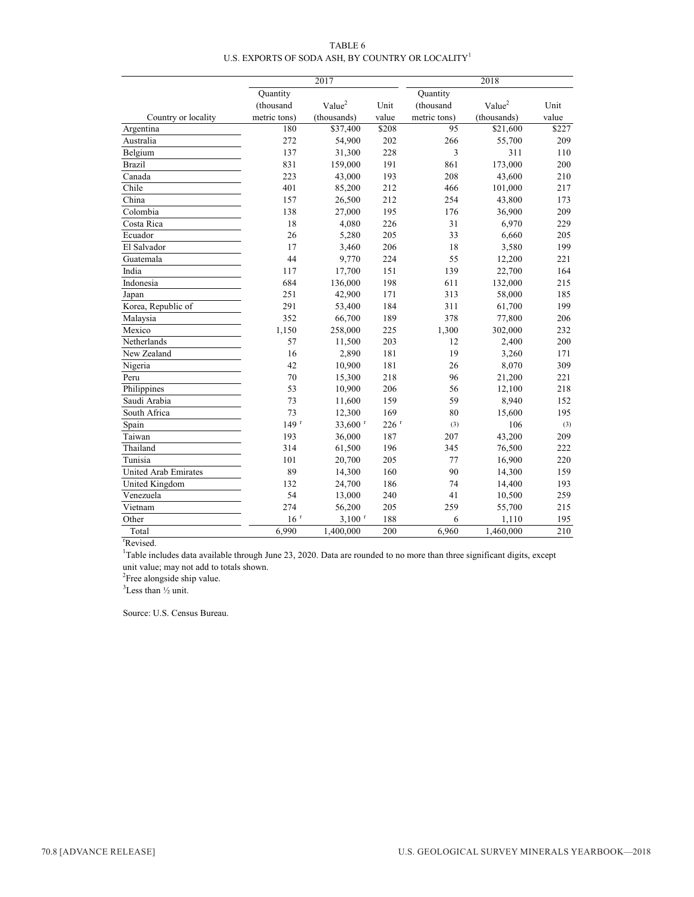TABLE 6 U.S. EXPORTS OF SODA ASH, BY COUNTRY OR LOCALITY  $^{\rm l}$ 

|                             | 2017            |                      |                    | 2018            |                    |       |  |
|-----------------------------|-----------------|----------------------|--------------------|-----------------|--------------------|-------|--|
|                             | Quantity        |                      |                    | <b>Quantity</b> |                    |       |  |
|                             | (thousand       | Value <sup>2</sup>   | Unit               | (thousand       | $\mathrm{Value}^2$ | Unit  |  |
| Country or locality         | metric tons)    | (thousands)          | value              | metric tons)    | (thousands)        | value |  |
| Argentina                   | 180             | \$37,400             | \$208              | 95              | \$21,600           | \$227 |  |
| Australia                   | 272             | 54,900               | 202                | 266             | 55,700             | 209   |  |
| Belgium                     | 137             | 31,300               | 228                | $\overline{3}$  | 311                | 110   |  |
| <b>Brazil</b>               | 831             | 159,000              | 191                | 861             | 173,000            | 200   |  |
| Canada                      | 223             | 43,000               | 193                | 208             | 43,600             | 210   |  |
| Chile                       | 401             | 85,200               | 212                | 466             | 101,000            | 217   |  |
| China                       | 157             | 26,500               | 212                | 254             | 43,800             | 173   |  |
| Colombia                    | 138             | 27,000               | 195                | 176             | 36,900             | 209   |  |
| Costa Rica                  | 18              | 4,080                | 226                | 31              | 6,970              | 229   |  |
| Ecuador                     | 26              | 5,280                | 205                | 33              | 6,660              | 205   |  |
| El Salvador                 | 17              | 3,460                | 206                | 18              | 3,580              | 199   |  |
| Guatemala                   | 44              | 9,770                | 224                | 55              | 12,200             | 221   |  |
| India                       | 117             | 17,700               | 151                | 139             | 22,700             | 164   |  |
| Indonesia                   | 684             | 136,000              | 198                | 611             | 132,000            | 215   |  |
| Japan                       | 251             | 42,900               | 171                | 313             | 58,000             | 185   |  |
| Korea, Republic of          | 291             | 53,400               | 184                | 311             | 61,700             | 199   |  |
| Malaysia                    | 352             | 66,700               | 189                | 378             | 77,800             | 206   |  |
| Mexico                      | 1,150           | 258,000              | 225                | 1,300           | 302,000            | 232   |  |
| Netherlands                 | 57              | 11,500               | 203                | 12              | 2,400              | 200   |  |
| New Zealand                 | 16              | 2,890                | 181                | 19              | 3,260              | 171   |  |
| Nigeria                     | 42              | 10,900               | 181                | 26              | 8,070              | 309   |  |
| Peru                        | 70              | 15,300               | 218                | 96              | 21,200             | 221   |  |
| Philippines                 | 53              | 10,900               | 206                | 56              | 12,100             | 218   |  |
| Saudi Arabia                | 73              | 11,600               | 159                | 59              | 8,940              | 152   |  |
| South Africa                | 73              | 12,300               | 169                | 80              | 15,600             | 195   |  |
| Spain                       | 149r            | 33,600 r             | $226$ <sup>r</sup> | (3)             | 106                | (3)   |  |
| Taiwan                      | 193             | 36,000               | 187                | 207             | 43,200             | 209   |  |
| Thailand                    | 314             | 61,500               | 196                | 345             | 76,500             | 222   |  |
| Tunisia                     | 101             | 20,700               | 205                | 77              | 16,900             | 220   |  |
| <b>United Arab Emirates</b> | 89              | 14,300               | 160                | 90              | 14,300             | 159   |  |
| United Kingdom              | 132             | 24,700               | 186                | 74              | 14,400             | 193   |  |
| Venezuela                   | 54              | 13,000               | 240                | 41              | 10,500             | 259   |  |
| Vietnam                     | 274             | 56,200               | 205                | 259             | 55,700             | 215   |  |
| Other                       | 16 <sup>r</sup> | $3,100$ <sup>r</sup> | 188                | 6               | 1,110              | 195   |  |
| Total                       | 6,990           | 1,400,000            | 200                | 6,960           | 1,460,000          | 210   |  |

r Revised.

1 Table includes data available through June 23, 2020. Data are rounded to no more than three significant digits, except unit value; may not add to totals shown.

<sup>2</sup>Free alongside ship value.

 $3$ Less than  $\frac{1}{2}$  unit.

Source: U.S. Census Bureau.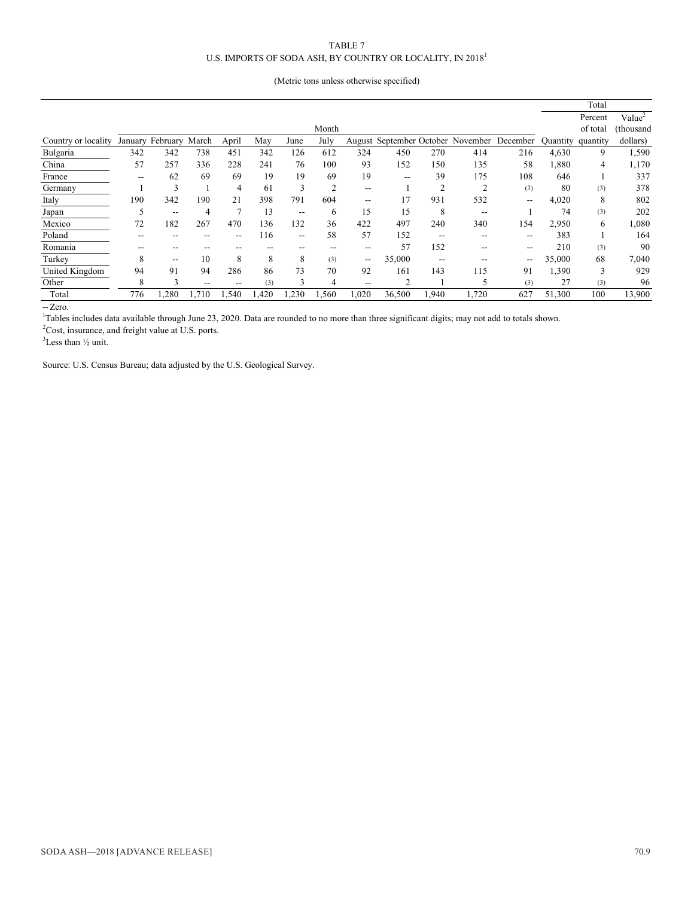#### TABLE 7 U.S. IMPORTS OF SODA ASH, BY COUNTRY OR LOCALITY, IN  $2018^{\rm l}$

#### (Metric tons unless otherwise specified)

|                     |     |                        |                |       |       |                   |                |       |                |                |                                            |       |                   | Total    |                    |
|---------------------|-----|------------------------|----------------|-------|-------|-------------------|----------------|-------|----------------|----------------|--------------------------------------------|-------|-------------------|----------|--------------------|
|                     |     |                        |                |       |       |                   |                |       |                |                |                                            |       |                   | Percent  | Value <sup>2</sup> |
|                     |     |                        |                |       |       |                   | Month          |       |                |                |                                            |       |                   | of total | (thousand          |
| Country or locality |     | January February March |                | April | May   | June              | July           |       |                |                | August September October November December |       | Quantity quantity |          | dollars)           |
| Bulgaria            | 342 | 342                    | 738            | 451   | 342   | 126               | 612            | 324   | 450            | 270            | 414                                        | 216   | 4,630             | 9        | 1,590              |
| China               | 57  | 257                    | 336            | 228   | 241   | 76                | 100            | 93    | 152            | 150            | 135                                        | 58    | .880              | 4        | 1,170              |
| France              | --  | 62                     | 69             | 69    | 19    | 19                | 69             | 19    | --             | 39             | 175                                        | 108   | 646               |          | 337                |
| Germany             |     | 3                      |                | 4     | 61    | 3                 | $\overline{2}$ | $- -$ |                | $\overline{2}$ | $\overline{2}$                             | (3)   | 80                | (3)      | 378                |
| Italy               | 190 | 342                    | 190            | 21    | 398   | 791               | 604            | --    | 17             | 931            | 532                                        | $- -$ | 4,020             | 8        | 802                |
| Japan               |     | $- -$                  | $\overline{4}$ | ⇁     | 13    | $\qquad \qquad -$ | 6              | 15    | 15             | 8              | $- -$                                      |       | 74                | (3)      | 202                |
| Mexico              | 72  | 182                    | 267            | 470   | 136   | 132               | 36             | 422   | 497            | 240            | 340                                        | 154   | 2,950             | 6        | 0.080              |
| Poland              | --  | --                     | --             | $- -$ | 116   | $- -$             | 58             | 57    | 152            | --             | $- -$                                      |       | 383               |          | 164                |
| Romania             |     | --                     | --             |       | --    | --                | --             | --    | 57             | 152            | $- -$                                      | --    | 210               | (3)      | 90                 |
| Turkey              | 8   | --                     | 10             | 8     | 8     | 8                 | (3)            | --    | 35,000         | --             | $- -$                                      | --    | 35,000            | 68       | 7,040              |
| United Kingdom      | 94  | 91                     | 94             | 286   | 86    | 73                | 70             | 92    | 161            | 143            | 115                                        | 91    | .390              | 3        | 929                |
| Other               | 8   | 3                      | $- -$          | $- -$ | (3)   | 3                 | 4              | $- -$ | $\overline{2}$ |                | 5                                          | (3)   | 27                | (3)      | 96                 |
| Total               | 776 | 1,280                  | 1,710          | 1,540 | 1,420 | 1,230             | 1,560          | 1,020 | 36,500         | 1,940          | 1,720                                      | 627   | 51,300            | 100      | 13,900             |

-- Zero.<br><sup>1</sup>Tables includes data available through June 23, 2020. Data are rounded to no more than three significant digits; may not add to totals shown.

 $2$ Cost, insurance, and freight value at U.S. ports.

 ${}^{3}$ Less than  $\frac{1}{2}$  unit.

Source: U.S. Census Bureau; data adjusted by the U.S. Geological Survey.